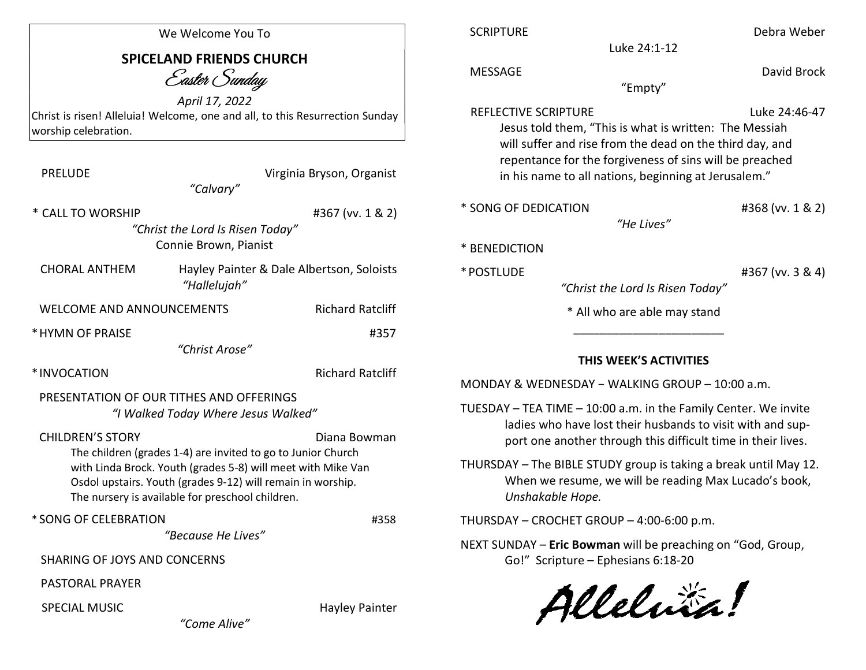| We Welcome You To                                                                                                                                                                                                                                                                                    |                                           | <b>SCRIPTURE</b>                                                                                                                                                                                                                                                                                                                               | Debra Weber      |
|------------------------------------------------------------------------------------------------------------------------------------------------------------------------------------------------------------------------------------------------------------------------------------------------------|-------------------------------------------|------------------------------------------------------------------------------------------------------------------------------------------------------------------------------------------------------------------------------------------------------------------------------------------------------------------------------------------------|------------------|
| <b>SPICELAND FRIENDS CHURCH</b><br>Easter Sunday                                                                                                                                                                                                                                                     |                                           | Luke 24:1-12<br><b>MESSAGE</b><br>"Empty"                                                                                                                                                                                                                                                                                                      | David Brock      |
| April 17, 2022<br>Christ is risen! Alleluia! Welcome, one and all, to this Resurrection Sunday<br>worship celebration.                                                                                                                                                                               |                                           | Luke 24:46-47<br>REFLECTIVE SCRIPTURE<br>Jesus told them, "This is what is written: The Messiah                                                                                                                                                                                                                                                |                  |
| <b>PRELUDE</b><br>"Calvary"                                                                                                                                                                                                                                                                          | Virginia Bryson, Organist                 | will suffer and rise from the dead on the third day, and<br>repentance for the forgiveness of sins will be preached<br>in his name to all nations, beginning at Jerusalem."                                                                                                                                                                    |                  |
| * CALL TO WORSHIP<br>#367 (vv. 1 & 2)<br>"Christ the Lord Is Risen Today"<br>Connie Brown, Pianist                                                                                                                                                                                                   |                                           | * SONG OF DEDICATION<br>#368 (vv. 1 & 2)<br>"He Lives"<br>* BENEDICTION                                                                                                                                                                                                                                                                        |                  |
| <b>CHORAL ANTHEM</b><br>"Hallelujah"                                                                                                                                                                                                                                                                 | Hayley Painter & Dale Albertson, Soloists | * POSTLUDE<br>"Christ the Lord Is Risen Today"                                                                                                                                                                                                                                                                                                 | #367 (vv. 3 & 4) |
| <b>Richard Ratcliff</b><br><b>WELCOME AND ANNOUNCEMENTS</b>                                                                                                                                                                                                                                          |                                           | * All who are able may stand                                                                                                                                                                                                                                                                                                                   |                  |
| * HYMN OF PRAISE<br>#357<br>"Christ Arose"                                                                                                                                                                                                                                                           |                                           |                                                                                                                                                                                                                                                                                                                                                |                  |
| <b>Richard Ratcliff</b><br>*INVOCATION<br>PRESENTATION OF OUR TITHES AND OFFERINGS<br>"I Walked Today Where Jesus Walked"<br><b>CHILDREN'S STORY</b><br>Diana Bowman<br>The children (grades 1-4) are invited to go to Junior Church<br>with Linda Brock. Youth (grades 5-8) will meet with Mike Van |                                           | THIS WEEK'S ACTIVITIES<br>MONDAY & WEDNESDAY - WALKING GROUP - 10:00 a.m.<br>TUESDAY - TEA TIME - 10:00 a.m. in the Family Center. We invite<br>ladies who have lost their husbands to visit with and sup-<br>port one another through this difficult time in their lives.<br>THURSDAY - The BIBLE STUDY group is taking a break until May 12. |                  |
| Osdol upstairs. Youth (grades 9-12) will remain in worship.<br>The nursery is available for preschool children.                                                                                                                                                                                      |                                           | When we resume, we will be reading Max Lucado's book,<br>Unshakable Hope.                                                                                                                                                                                                                                                                      |                  |
| * SONG OF CELEBRATION                                                                                                                                                                                                                                                                                | #358                                      | THURSDAY - CROCHET GROUP - 4:00-6:00 p.m.                                                                                                                                                                                                                                                                                                      |                  |
| "Because He Lives"<br><b>SHARING OF JOYS AND CONCERNS</b>                                                                                                                                                                                                                                            |                                           | NEXT SUNDAY - Eric Bowman will be preaching on "God, Group,<br>Go!" Scripture - Ephesians 6:18-20                                                                                                                                                                                                                                              |                  |
| <b>PASTORAL PRAYER</b>                                                                                                                                                                                                                                                                               |                                           |                                                                                                                                                                                                                                                                                                                                                |                  |
| <b>SPECIAL MUSIC</b><br>"Come Alive"                                                                                                                                                                                                                                                                 | <b>Hayley Painter</b>                     | Alleluia!                                                                                                                                                                                                                                                                                                                                      |                  |